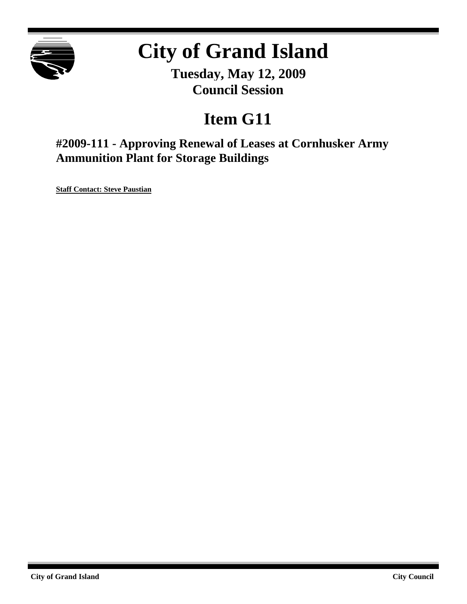

# **City of Grand Island**

**Tuesday, May 12, 2009 Council Session**

## **Item G11**

**#2009-111 - Approving Renewal of Leases at Cornhusker Army Ammunition Plant for Storage Buildings**

**Staff Contact: Steve Paustian**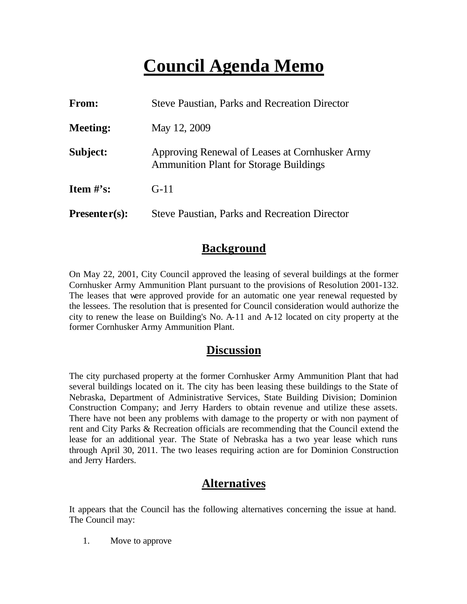## **Council Agenda Memo**

| <b>From:</b>                   | <b>Steve Paustian, Parks and Recreation Director</b>                                            |  |
|--------------------------------|-------------------------------------------------------------------------------------------------|--|
| <b>Meeting:</b>                | May 12, 2009                                                                                    |  |
| Subject:                       | Approving Renewal of Leases at Cornhusker Army<br><b>Ammunition Plant for Storage Buildings</b> |  |
| <b>Item <math>\#</math>'s:</b> | $G-11$                                                                                          |  |
| $Presenter(s):$                | <b>Steve Paustian, Parks and Recreation Director</b>                                            |  |

#### **Background**

On May 22, 2001, City Council approved the leasing of several buildings at the former Cornhusker Army Ammunition Plant pursuant to the provisions of Resolution 2001-132. The leases that were approved provide for an automatic one year renewal requested by the lessees. The resolution that is presented for Council consideration would authorize the city to renew the lease on Building's No. A-11 and A-12 located on city property at the former Cornhusker Army Ammunition Plant.

## **Discussion**

The city purchased property at the former Cornhusker Army Ammunition Plant that had several buildings located on it. The city has been leasing these buildings to the State of Nebraska, Department of Administrative Services, State Building Division; Dominion Construction Company; and Jerry Harders to obtain revenue and utilize these assets. There have not been any problems with damage to the property or with non payment of rent and City Parks & Recreation officials are recommending that the Council extend the lease for an additional year. The State of Nebraska has a two year lease which runs through April 30, 2011. The two leases requiring action are for Dominion Construction and Jerry Harders.

### **Alternatives**

It appears that the Council has the following alternatives concerning the issue at hand. The Council may:

1. Move to approve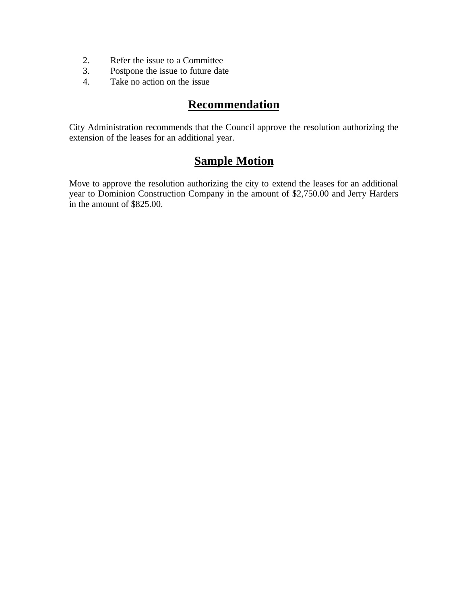- 2. Refer the issue to a Committee
- 3. Postpone the issue to future date
- 4. Take no action on the issue

### **Recommendation**

City Administration recommends that the Council approve the resolution authorizing the extension of the leases for an additional year.

## **Sample Motion**

Move to approve the resolution authorizing the city to extend the leases for an additional year to Dominion Construction Company in the amount of \$2,750.00 and Jerry Harders in the amount of \$825.00.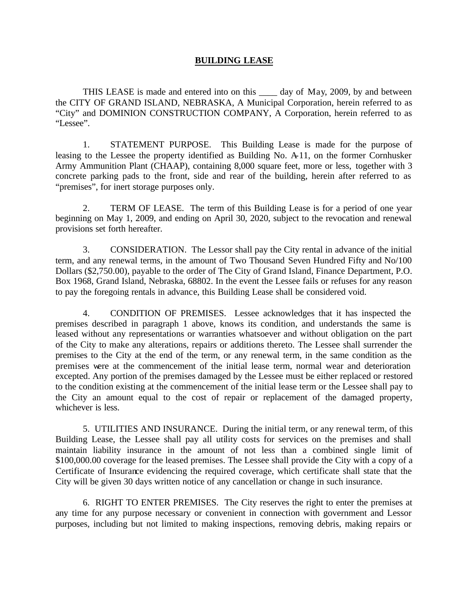#### **BUILDING LEASE**

THIS LEASE is made and entered into on this \_\_\_\_ day of May, 2009, by and between the CITY OF GRAND ISLAND, NEBRASKA, A Municipal Corporation, herein referred to as "City" and DOMINION CONSTRUCTION COMPANY, A Corporation, herein referred to as "Lessee".

1. STATEMENT PURPOSE. This Building Lease is made for the purpose of leasing to the Lessee the property identified as Building No. A-11, on the former Cornhusker Army Ammunition Plant (CHAAP), containing 8,000 square feet, more or less, together with 3 concrete parking pads to the front, side and rear of the building, herein after referred to as "premises", for inert storage purposes only.

2. TERM OF LEASE. The term of this Building Lease is for a period of one year beginning on May 1, 2009, and ending on April 30, 2020, subject to the revocation and renewal provisions set forth hereafter.

3. CONSIDERATION. The Lessor shall pay the City rental in advance of the initial term, and any renewal terms, in the amount of Two Thousand Seven Hundred Fifty and No/100 Dollars (\$2,750.00), payable to the order of The City of Grand Island, Finance Department, P.O. Box 1968, Grand Island, Nebraska, 68802. In the event the Lessee fails or refuses for any reason to pay the foregoing rentals in advance, this Building Lease shall be considered void.

4. CONDITION OF PREMISES. Lessee acknowledges that it has inspected the premises described in paragraph 1 above, knows its condition, and understands the same is leased without any representations or warranties whatsoever and without obligation on the part of the City to make any alterations, repairs or additions thereto. The Lessee shall surrender the premises to the City at the end of the term, or any renewal term, in the same condition as the premises were at the commencement of the initial lease term, normal wear and deterioration excepted. Any portion of the premises damaged by the Lessee must be either replaced or restored to the condition existing at the commencement of the initial lease term or the Lessee shall pay to the City an amount equal to the cost of repair or replacement of the damaged property, whichever is less.

5. UTILITIES AND INSURANCE. During the initial term, or any renewal term, of this Building Lease, the Lessee shall pay all utility costs for services on the premises and shall maintain liability insurance in the amount of not less than a combined single limit of \$100,000.00 coverage for the leased premises. The Lessee shall provide the City with a copy of a Certificate of Insurance evidencing the required coverage, which certificate shall state that the City will be given 30 days written notice of any cancellation or change in such insurance.

6. RIGHT TO ENTER PREMISES. The City reserves the right to enter the premises at any time for any purpose necessary or convenient in connection with government and Lessor purposes, including but not limited to making inspections, removing debris, making repairs or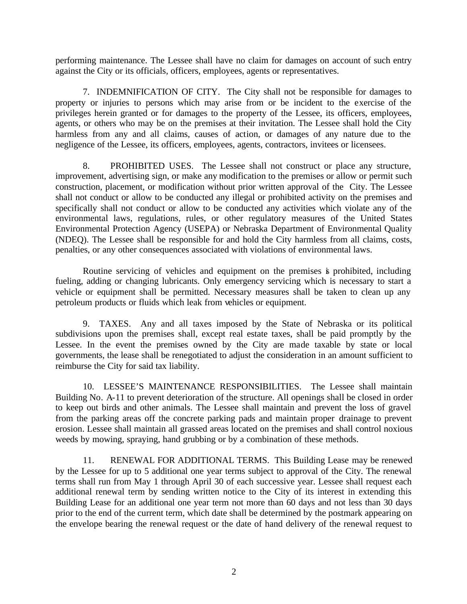performing maintenance. The Lessee shall have no claim for damages on account of such entry against the City or its officials, officers, employees, agents or representatives.

7. INDEMNIFICATION OF CITY. The City shall not be responsible for damages to property or injuries to persons which may arise from or be incident to the exercise of the privileges herein granted or for damages to the property of the Lessee, its officers, employees, agents, or others who may be on the premises at their invitation. The Lessee shall hold the City harmless from any and all claims, causes of action, or damages of any nature due to the negligence of the Lessee, its officers, employees, agents, contractors, invitees or licensees.

8. PROHIBITED USES. The Lessee shall not construct or place any structure, improvement, advertising sign, or make any modification to the premises or allow or permit such construction, placement, or modification without prior written approval of the City. The Lessee shall not conduct or allow to be conducted any illegal or prohibited activity on the premises and specifically shall not conduct or allow to be conducted any activities which violate any of the environmental laws, regulations, rules, or other regulatory measures of the United States Environmental Protection Agency (USEPA) or Nebraska Department of Environmental Quality (NDEQ). The Lessee shall be responsible for and hold the City harmless from all claims, costs, penalties, or any other consequences associated with violations of environmental laws.

Routine servicing of vehicles and equipment on the premises is prohibited, including fueling, adding or changing lubricants. Only emergency servicing which is necessary to start a vehicle or equipment shall be permitted. Necessary measures shall be taken to clean up any petroleum products or fluids which leak from vehicles or equipment.

9. TAXES. Any and all taxes imposed by the State of Nebraska or its political subdivisions upon the premises shall, except real estate taxes, shall be paid promptly by the Lessee. In the event the premises owned by the City are made taxable by state or local governments, the lease shall be renegotiated to adjust the consideration in an amount sufficient to reimburse the City for said tax liability.

10. LESSEE'S MAINTENANCE RESPONSIBILITIES. The Lessee shall maintain Building No. A-11 to prevent deterioration of the structure. All openings shall be closed in order to keep out birds and other animals. The Lessee shall maintain and prevent the loss of gravel from the parking areas off the concrete parking pads and maintain proper drainage to prevent erosion. Lessee shall maintain all grassed areas located on the premises and shall control noxious weeds by mowing, spraying, hand grubbing or by a combination of these methods.

11. RENEWAL FOR ADDITIONAL TERMS. This Building Lease may be renewed by the Lessee for up to 5 additional one year terms subject to approval of the City. The renewal terms shall run from May 1 through April 30 of each successive year. Lessee shall request each additional renewal term by sending written notice to the City of its interest in extending this Building Lease for an additional one year term not more than 60 days and not less than 30 days prior to the end of the current term, which date shall be determined by the postmark appearing on the envelope bearing the renewal request or the date of hand delivery of the renewal request to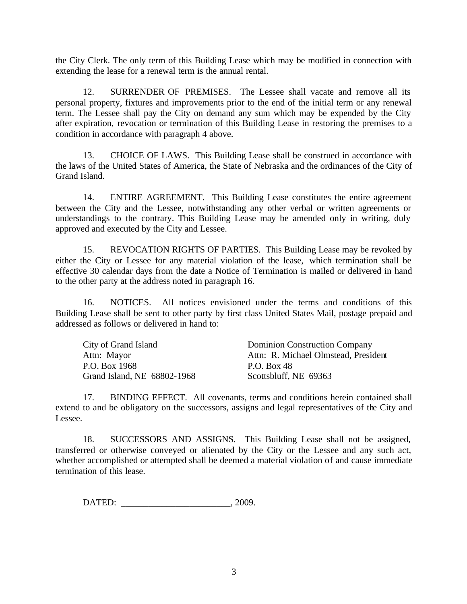the City Clerk. The only term of this Building Lease which may be modified in connection with extending the lease for a renewal term is the annual rental.

12. SURRENDER OF PREMISES. The Lessee shall vacate and remove all its personal property, fixtures and improvements prior to the end of the initial term or any renewal term. The Lessee shall pay the City on demand any sum which may be expended by the City after expiration, revocation or termination of this Building Lease in restoring the premises to a condition in accordance with paragraph 4 above.

13. CHOICE OF LAWS. This Building Lease shall be construed in accordance with the laws of the United States of America, the State of Nebraska and the ordinances of the City of Grand Island.

14. ENTIRE AGREEMENT. This Building Lease constitutes the entire agreement between the City and the Lessee, notwithstanding any other verbal or written agreements or understandings to the contrary. This Building Lease may be amended only in writing, duly approved and executed by the City and Lessee.

15. REVOCATION RIGHTS OF PARTIES. This Building Lease may be revoked by either the City or Lessee for any material violation of the lease, which termination shall be effective 30 calendar days from the date a Notice of Termination is mailed or delivered in hand to the other party at the address noted in paragraph 16.

16. NOTICES. All notices envisioned under the terms and conditions of this Building Lease shall be sent to other party by first class United States Mail, postage prepaid and addressed as follows or delivered in hand to:

| City of Grand Island        | <b>Dominion Construction Company</b> |
|-----------------------------|--------------------------------------|
| Attn: Mayor                 | Attn: R. Michael Olmstead, President |
| P.O. Box 1968               | P.O. Box 48                          |
| Grand Island, NE 68802-1968 | Scottsbluff, NE 69363                |

17. BINDING EFFECT. All covenants, terms and conditions herein contained shall extend to and be obligatory on the successors, assigns and legal representatives of the City and Lessee.

18. SUCCESSORS AND ASSIGNS. This Building Lease shall not be assigned, transferred or otherwise conveyed or alienated by the City or the Lessee and any such act, whether accomplished or attempted shall be deemed a material violation of and cause immediate termination of this lease.

DATED:  $0.2009$ .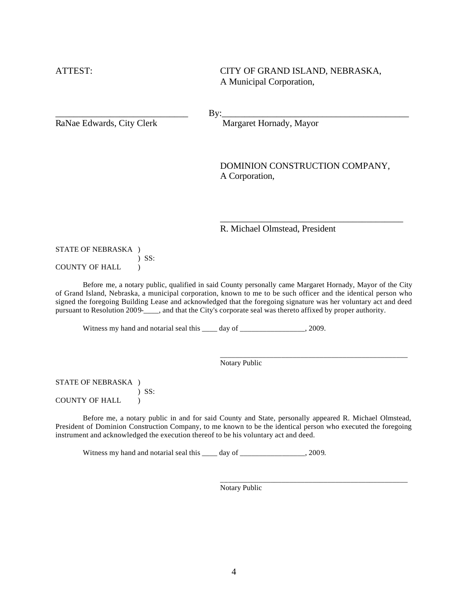ATTEST: CITY OF GRAND ISLAND, NEBRASKA, A Municipal Corporation,

 $\text{By:}\qquad \qquad \text{By:}$ 

RaNae Edwards, City Clerk Margaret Hornady, Mayor

DOMINION CONSTRUCTION COMPANY, A Corporation,

\_\_\_\_\_\_\_\_\_\_\_\_\_\_\_\_\_\_\_\_\_\_\_\_\_\_\_\_\_\_\_\_\_\_\_\_\_\_\_\_

\_\_\_\_\_\_\_\_\_\_\_\_\_\_\_\_\_\_\_\_\_\_\_\_\_\_\_\_\_\_\_\_\_\_\_\_\_\_\_\_\_\_\_\_\_\_\_\_\_

\_\_\_\_\_\_\_\_\_\_\_\_\_\_\_\_\_\_\_\_\_\_\_\_\_\_\_\_\_\_\_\_\_\_\_\_\_\_\_\_\_\_\_\_\_\_\_\_\_

R. Michael Olmstead, President

STATE OF NEBRASKA ) ) SS: COUNTY OF HALL )

Before me, a notary public, qualified in said County personally came Margaret Hornady, Mayor of the City of Grand Island, Nebraska, a municipal corporation, known to me to be such officer and the identical person who signed the foregoing Building Lease and acknowledged that the foregoing signature was her voluntary act and deed pursuant to Resolution 2009-\_\_\_\_, and that the City's corporate seal was thereto affixed by proper authority.

Witness my hand and notarial seal this \_\_\_\_ day of \_\_\_\_\_\_\_\_\_\_\_\_\_\_\_\_, 2009.

Notary Public

STATE OF NEBRASKA ) ) SS: COUNTY OF HALL )

Before me, a notary public in and for said County and State, personally appeared R. Michael Olmstead, President of Dominion Construction Company, to me known to be the identical person who executed the foregoing instrument and acknowledged the execution thereof to be his voluntary act and deed.

Witness my hand and notarial seal this \_\_\_\_ day of \_\_\_\_\_\_\_\_\_\_\_\_\_\_\_, 2009.

Notary Public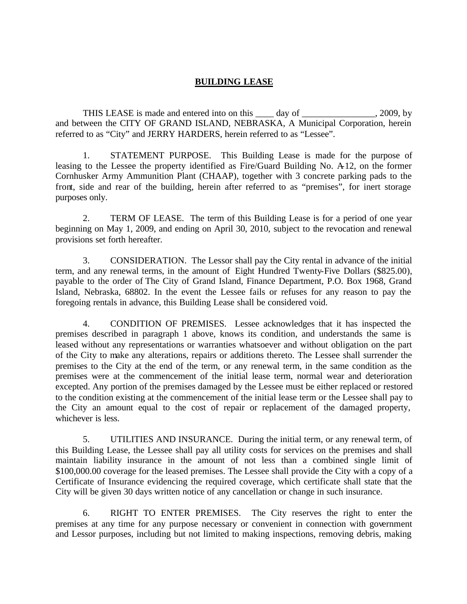#### **BUILDING LEASE**

THIS LEASE is made and entered into on this \_\_\_\_ day of \_\_\_\_\_\_\_\_\_\_\_\_\_\_\_\_, 2009, by and between the CITY OF GRAND ISLAND, NEBRASKA, A Municipal Corporation, herein referred to as "City" and JERRY HARDERS, herein referred to as "Lessee".

1. STATEMENT PURPOSE. This Building Lease is made for the purpose of leasing to the Lessee the property identified as Fire/Guard Building No. A-12, on the former Cornhusker Army Ammunition Plant (CHAAP), together with 3 concrete parking pads to the front, side and rear of the building, herein after referred to as "premises", for inert storage purposes only.

2. TERM OF LEASE. The term of this Building Lease is for a period of one year beginning on May 1, 2009, and ending on April 30, 2010, subject to the revocation and renewal provisions set forth hereafter.

3. CONSIDERATION. The Lessor shall pay the City rental in advance of the initial term, and any renewal terms, in the amount of Eight Hundred Twenty-Five Dollars (\$825.00), payable to the order of The City of Grand Island, Finance Department, P.O. Box 1968, Grand Island, Nebraska, 68802. In the event the Lessee fails or refuses for any reason to pay the foregoing rentals in advance, this Building Lease shall be considered void.

4. CONDITION OF PREMISES. Lessee acknowledges that it has inspected the premises described in paragraph 1 above, knows its condition, and understands the same is leased without any representations or warranties whatsoever and without obligation on the part of the City to make any alterations, repairs or additions thereto. The Lessee shall surrender the premises to the City at the end of the term, or any renewal term, in the same condition as the premises were at the commencement of the initial lease term, normal wear and deterioration excepted. Any portion of the premises damaged by the Lessee must be either replaced or restored to the condition existing at the commencement of the initial lease term or the Lessee shall pay to the City an amount equal to the cost of repair or replacement of the damaged property, whichever is less.

5. UTILITIES AND INSURANCE. During the initial term, or any renewal term, of this Building Lease, the Lessee shall pay all utility costs for services on the premises and shall maintain liability insurance in the amount of not less than a combined single limit of \$100,000.00 coverage for the leased premises. The Lessee shall provide the City with a copy of a Certificate of Insurance evidencing the required coverage, which certificate shall state that the City will be given 30 days written notice of any cancellation or change in such insurance.

6. RIGHT TO ENTER PREMISES. The City reserves the right to enter the premises at any time for any purpose necessary or convenient in connection with government and Lessor purposes, including but not limited to making inspections, removing debris, making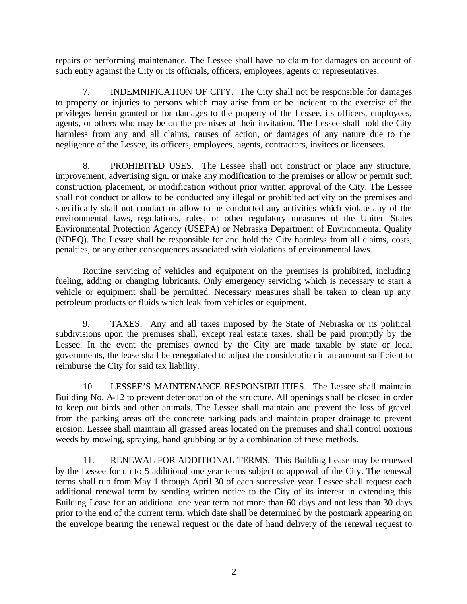repairs or performing maintenance. The Lessee shall have no claim for damages on account of such entry against the City or its officials, officers, employees, agents or representatives.

7. INDEMNIFICATION OF CITY. The City shall not be responsible for damages to property or injuries to persons which may arise from or be incident to the exercise of the privileges herein granted or for damages to the property of the Lessee, its officers, employees, agents, or others who may be on the premises at their invitation. The Lessee shall hold the City harmless from any and all claims, causes of action, or damages of any nature due to the negligence of the Lessee, its officers, employees, agents, contractors, invitees or licensees.

8. PROHIBITED USES. The Lessee shall not construct or place any structure, improvement, advertising sign, or make any modification to the premises or allow or permit such construction, placement, or modification without prior written approval of the City. The Lessee shall not conduct or allow to be conducted any illegal or prohibited activity on the premises and specifically shall not conduct or allow to be conducted any activities which violate any of the environmental laws, regulations, rules, or other regulatory measures of the United States Environmental Protection Agency (USEPA) or Nebraska Department of Environmental Quality (NDEQ). The Lessee shall be responsible for and hold the City harmless from all claims, costs, penalties, or any other consequences associated with violations of environmental laws.

Routine servicing of vehicles and equipment on the premises is prohibited, including fueling, adding or changing lubricants. Only emergency servicing which is necessary to start a vehicle or equipment shall be permitted. Necessary measures shall be taken to clean up any petroleum products or fluids which leak from vehicles or equipment.

9. TAXES. Any and all taxes imposed by the State of Nebraska or its political subdivisions upon the premises shall, except real estate taxes, shall be paid promptly by the Lessee. In the event the premises owned by the City are made taxable by state or local governments, the lease shall be renegotiated to adjust the consideration in an amount sufficient to reimburse the City for said tax liability.

10. LESSEE'S MAINTENANCE RESPONSIBILITIES. The Lessee shall maintain Building No. A-12 to prevent deterioration of the structure. All openings shall be closed in order to keep out birds and other animals. The Lessee shall maintain and prevent the loss of gravel from the parking areas off the concrete parking pads and maintain proper drainage to prevent erosion. Lessee shall maintain all grassed areas located on the premises and shall control noxious weeds by mowing, spraying, hand grubbing or by a combination of these methods.

11. RENEWAL FOR ADDITIONAL TERMS. This Building Lease may be renewed by the Lessee for up to 5 additional one year terms subject to approval of the City. The renewal terms shall run from May 1 through April 30 of each successive year. Lessee shall request each additional renewal term by sending written notice to the City of its interest in extending this Building Lease for an additional one year term not more than 60 days and not less than 30 days prior to the end of the current term, which date shall be determined by the postmark appearing on the envelope bearing the renewal request or the date of hand delivery of the renewal request to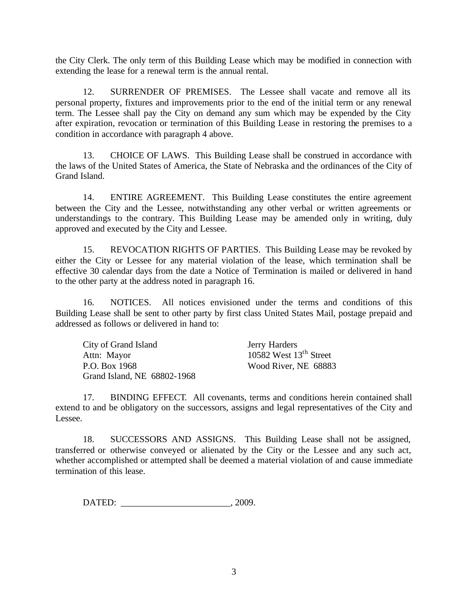the City Clerk. The only term of this Building Lease which may be modified in connection with extending the lease for a renewal term is the annual rental.

12. SURRENDER OF PREMISES. The Lessee shall vacate and remove all its personal property, fixtures and improvements prior to the end of the initial term or any renewal term. The Lessee shall pay the City on demand any sum which may be expended by the City after expiration, revocation or termination of this Building Lease in restoring the premises to a condition in accordance with paragraph 4 above.

13. CHOICE OF LAWS. This Building Lease shall be construed in accordance with the laws of the United States of America, the State of Nebraska and the ordinances of the City of Grand Island.

14. ENTIRE AGREEMENT. This Building Lease constitutes the entire agreement between the City and the Lessee, notwithstanding any other verbal or written agreements or understandings to the contrary. This Building Lease may be amended only in writing, duly approved and executed by the City and Lessee.

15. REVOCATION RIGHTS OF PARTIES. This Building Lease may be revoked by either the City or Lessee for any material violation of the lease, which termination shall be effective 30 calendar days from the date a Notice of Termination is mailed or delivered in hand to the other party at the address noted in paragraph 16.

16. NOTICES. All notices envisioned under the terms and conditions of this Building Lease shall be sent to other party by first class United States Mail, postage prepaid and addressed as follows or delivered in hand to:

| City of Grand Island        | Jerry Harders            |
|-----------------------------|--------------------------|
| Attn: Mayor                 | 10582 West $13th$ Street |
| P.O. Box 1968               | Wood River, NE 68883     |
| Grand Island, NE 68802-1968 |                          |

17. BINDING EFFECT. All covenants, terms and conditions herein contained shall extend to and be obligatory on the successors, assigns and legal representatives of the City and Lessee.

18. SUCCESSORS AND ASSIGNS. This Building Lease shall not be assigned, transferred or otherwise conveyed or alienated by the City or the Lessee and any such act, whether accomplished or attempted shall be deemed a material violation of and cause immediate termination of this lease.

DATED:  $0.2009$ .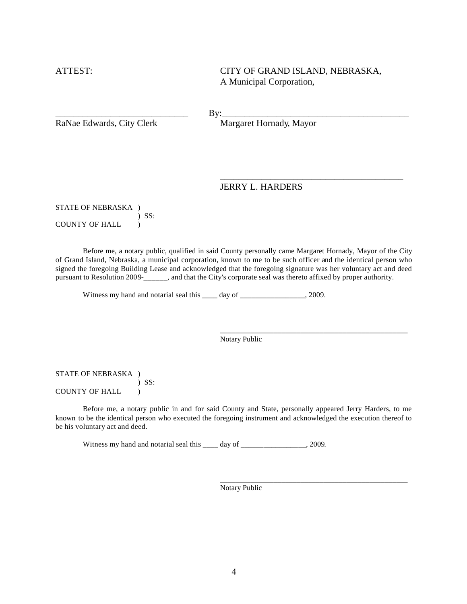ATTEST: CITY OF GRAND ISLAND, NEBRASKA, A Municipal Corporation,

\_\_\_\_\_\_\_\_\_\_\_\_\_\_\_\_\_\_\_\_\_\_\_\_\_\_\_\_\_\_\_\_\_\_\_\_\_\_\_\_

\_\_\_\_\_\_\_\_\_\_\_\_\_\_\_\_\_\_\_\_\_\_\_\_\_\_\_\_\_\_\_\_\_\_\_\_\_\_\_\_\_\_\_\_\_\_\_\_\_

\_\_\_\_\_\_\_\_\_\_\_\_\_\_\_\_\_\_\_\_\_\_\_\_\_\_\_\_\_\_\_\_\_\_\_\_\_\_\_\_\_\_\_\_\_\_\_\_\_

 $\text{By:}\qquad \qquad \text{By:}$ 

RaNae Edwards, City Clerk Margaret Hornady, Mayor

#### JERRY L. HARDERS

STATE OF NEBRASKA ) ) SS: COUNTY OF HALL )

Before me, a notary public, qualified in said County personally came Margaret Hornady, Mayor of the City of Grand Island, Nebraska, a municipal corporation, known to me to be such officer and the identical person who signed the foregoing Building Lease and acknowledged that the foregoing signature was her voluntary act and deed pursuant to Resolution 2009-\_\_\_\_\_\_, and that the City's corporate seal was thereto affixed by proper authority.

Witness my hand and notarial seal this \_\_\_\_ day of \_\_\_\_\_\_\_\_\_\_\_\_\_\_\_\_, 2009.

Notary Public

STATE OF NEBRASKA ) ) SS: COUNTY OF HALL  $\qquad$ )

Before me, a notary public in and for said County and State, personally appeared Jerry Harders, to me known to be the identical person who executed the foregoing instrument and acknowledged the execution thereof to be his voluntary act and deed.

Witness my hand and notarial seal this \_\_\_\_ day of \_\_\_\_\_\_\_\_\_\_\_\_\_\_\_\_\_, 2009.

Notary Public